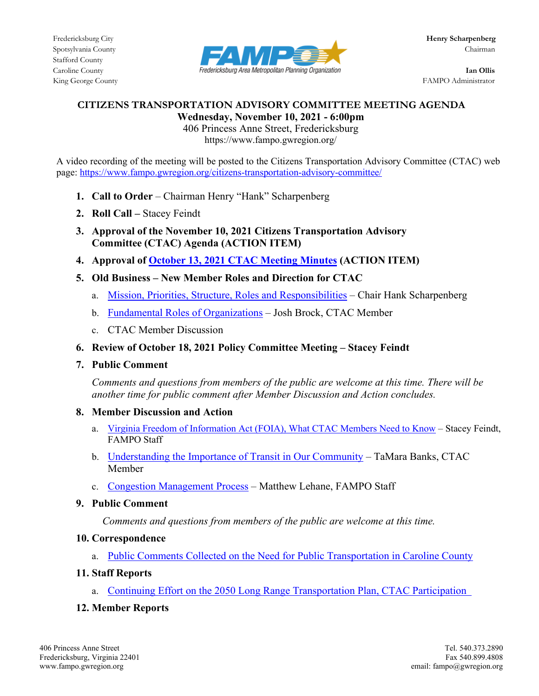

King George County FAMPO Administrator

### **CITIZENS TRANSPORTATION ADVISORY COMMITTEE MEETING AGENDA Wednesday, November 10, 2021 - 6:00pm**

406 Princess Anne Street, Fredericksburg https://www.fampo.gwregion.org/

A video recording of the meeting will be posted to the Citizens Transportation Advisory Committee (CTAC) web page[: https://www.fampo.gwregion.org/citizens-transportation-advisory-committee/](https://www.fampo.gwregion.org/citizens-transportation-advisory-committee/)

- **1. Call to Order**  Chairman Henry "Hank" Scharpenberg
- **2. Roll Call –** Stacey Feindt
- **3. Approval of the November 10, 2021 Citizens Transportation Advisory Committee (CTAC) Agenda (ACTION ITEM)**
- **4. Approval of October 13, [2021 CTAC Meeting Minutes](https://www.fampo.gwregion.org/wp-content/uploads/2021/10/2021.10.13-CTAC-Draft-Meeting-Minutes_Staff-Reviewed.pdf) (ACTION ITEM)**
- **5. Old Business – New Member Roles and Direction for CTAC** 
	- a. [Mission, Priorities, Structure, Roles and Responsibilities](https://www.fampo.gwregion.org/wp-content/uploads/2021/10/Chairman-CTAC-Presentation-Final-1.pdf) Chair Hank Scharpenberg
	- b. [Fundamental Roles of Organizations](https://www.fampo.gwregion.org/wp-content/uploads/2021/10/Josh-Brock-Presentation-to-CTAC.pdf) Josh Brock, CTAC Member
	- c. CTAC Member Discussion
- **6. Review of October 18, 2021 Policy Committee Meeting – Stacey Feindt**
- **7. Public Comment**

*Comments and questions from members of the public are welcome at this time. There will be another time for public comment after Member Discussion and Action concludes.*

- **8. Member Discussion and Action**
	- a. [Virginia Freedom of Information Act \(FOIA\), What CTAC Members Need to Know](https://www.fampo.gwregion.org/wp-content/uploads/2021/10/CTAC-Presentation-_FOIA_Nov-2021_Final.pdf) Stacey Feindt, FAMPO Staff
	- b. [Understanding the Importance of Transit in Our Community](https://www.fampo.gwregion.org/wp-content/uploads/2021/11/CTAC-Prensentation-TaMara-Banks-11.10.2021.pptx) TaMara Banks, CTAC Member
	- c. [Congestion Management Process](https://www.fampo.gwregion.org/congestion-management-process/) Matthew Lehane, FAMPO Staff
- **9. Public Comment**

 *Comments and questions from members of the public are welcome at this time.*

# **10. Correspondence**

a. [Public Comments Collected on the Need for Public Transportation in Caroline County](https://www.fampo.gwregion.org/wp-content/uploads/2021/10/Public-Comments-on-Need-for-Transit-in-Caroline-County.pdf)

# **11. Staff Reports**

a. [Continuing Effort on the 2050 Long Range Transportation Plan, CTAC Participation](https://www.fampo.gwregion.org/new-transportation-plan/)

# **12. Member Reports**